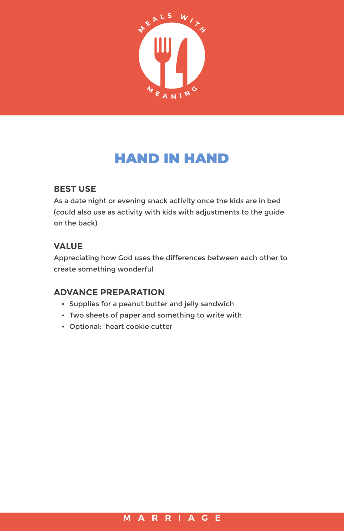

# HAND IN HAND

## **BEST USE**

As a date night or evening snack activity once the kids are in bed (could also use as activity with kids with adjustments to the guide on the back)

## **VALUE**

Appreciating how God uses the differences between each other to create something wonderful

## **ADVANCE PREPARATION**

- Supplies for a peanut butter and jelly sandwich
- Two sheets of paper and something to write with
- Optional: heart cookie cutter

#### **MARRIAGE**